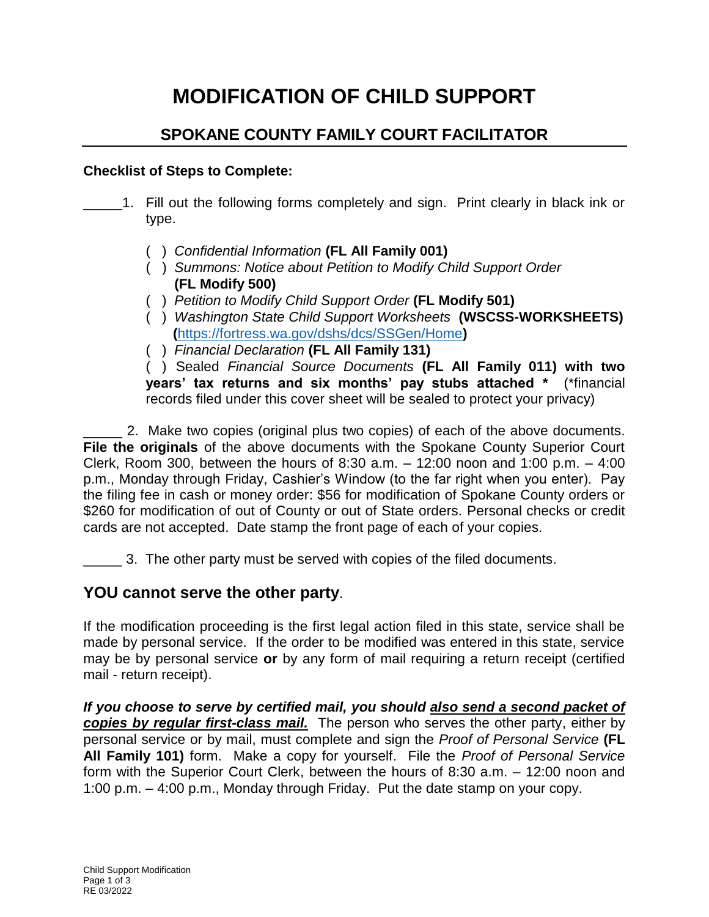# **MODIFICATION OF CHILD SUPPORT**

# **SPOKANE COUNTY FAMILY COURT FACILITATOR**

## **Checklist of Steps to Complete:**

- \_\_\_\_\_1. Fill out the following forms completely and sign. Print clearly in black ink or type.
	- ( ) *Confidential Information* **(FL All Family 001)**
	- ( ) *Summons: Notice about Petition to Modify Child Support Order*   **(FL Modify 500)**
	- ( ) *Petition to Modify Child Support Order* **(FL Modify 501)**
	- ( ) *Washington State Child Support Worksheets* **(WSCSS-WORKSHEETS) (**<https://fortress.wa.gov/dshs/dcs/SSGen/Home>**)**
	- ( ) *Financial Declaration* **(FL All Family 131)**

( ) Sealed *Financial Source Documents* **(FL All Family 011) with two years' tax returns and six months' pay stubs attached \*** (\*financial records filed under this cover sheet will be sealed to protect your privacy)

\_\_\_\_\_ 2. Make two copies (original plus two copies) of each of the above documents. **File the originals** of the above documents with the Spokane County Superior Court Clerk, Room 300, between the hours of 8:30 a.m.  $-$  12:00 noon and 1:00 p.m.  $-$  4:00 p.m., Monday through Friday, Cashier's Window (to the far right when you enter). Pay the filing fee in cash or money order: \$56 for modification of Spokane County orders or \$260 for modification of out of County or out of State orders. Personal checks or credit cards are not accepted. Date stamp the front page of each of your copies.

\_\_\_\_\_ 3. The other party must be served with copies of the filed documents.

# **YOU cannot serve the other party**.

If the modification proceeding is the first legal action filed in this state, service shall be made by personal service. If the order to be modified was entered in this state, service may be by personal service **or** by any form of mail requiring a return receipt (certified mail - return receipt).

*If you choose to serve by certified mail, you should also send a second packet of copies by regular first-class mail.* The person who serves the other party, either by personal service or by mail, must complete and sign the *Proof of Personal Service* **(FL All Family 101)** form. Make a copy for yourself. File the *Proof of Personal Service* form with the Superior Court Clerk, between the hours of 8:30 a.m. – 12:00 noon and 1:00 p.m. – 4:00 p.m., Monday through Friday. Put the date stamp on your copy.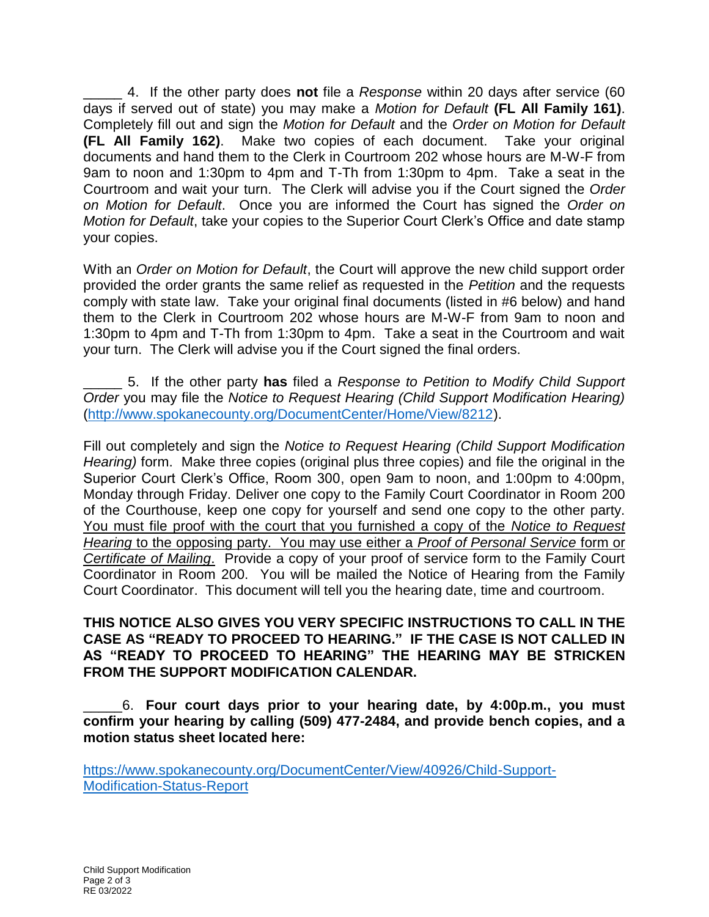\_\_\_\_\_ 4. If the other party does **not** file a *Response* within 20 days after service (60 days if served out of state) you may make a *Motion for Default* **(FL All Family 161)**. Completely fill out and sign the *Motion for Default* and the *Order on Motion for Default* **(FL All Family 162)**. Make two copies of each document. Take your original documents and hand them to the Clerk in Courtroom 202 whose hours are M-W-F from 9am to noon and 1:30pm to 4pm and T-Th from 1:30pm to 4pm. Take a seat in the Courtroom and wait your turn. The Clerk will advise you if the Court signed the *Order on Motion for Default*. Once you are informed the Court has signed the *Order on Motion for Default*, take your copies to the Superior Court Clerk's Office and date stamp your copies.

With an *Order on Motion for Default*, the Court will approve the new child support order provided the order grants the same relief as requested in the *Petition* and the requests comply with state law. Take your original final documents (listed in #6 below) and hand them to the Clerk in Courtroom 202 whose hours are M-W-F from 9am to noon and 1:30pm to 4pm and T-Th from 1:30pm to 4pm. Take a seat in the Courtroom and wait your turn. The Clerk will advise you if the Court signed the final orders.

\_\_\_\_\_ 5. If the other party **has** filed a *Response to Petition to Modify Child Support Order* you may file the *Notice to Request Hearing (Child Support Modification Hearing)* [\(http://www.spokanecounty.org/DocumentCenter/Home/View/8212\)](http://www.spokanecounty.org/DocumentCenter/Home/View/8212).

Fill out completely and sign the *Notice to Request Hearing (Child Support Modification Hearing)* form. Make three copies (original plus three copies) and file the original in the Superior Court Clerk's Office, Room 300, open 9am to noon, and 1:00pm to 4:00pm, Monday through Friday. Deliver one copy to the Family Court Coordinator in Room 200 of the Courthouse, keep one copy for yourself and send one copy to the other party. You must file proof with the court that you furnished a copy of the *Notice to Request Hearing* to the opposing party. You may use either a *Proof of Personal Service* form or *Certificate of Mailing*. Provide a copy of your proof of service form to the Family Court Coordinator in Room 200. You will be mailed the Notice of Hearing from the Family Court Coordinator. This document will tell you the hearing date, time and courtroom.

#### **THIS NOTICE ALSO GIVES YOU VERY SPECIFIC INSTRUCTIONS TO CALL IN THE CASE AS "READY TO PROCEED TO HEARING." IF THE CASE IS NOT CALLED IN AS "READY TO PROCEED TO HEARING" THE HEARING MAY BE STRICKEN FROM THE SUPPORT MODIFICATION CALENDAR.**

\_\_\_\_\_6. **Four court days prior to your hearing date, by 4:00p.m., you must confirm your hearing by calling (509) 477-2484, and provide bench copies, and a motion status sheet located here:**

[https://www.spokanecounty.org/DocumentCenter/View/40926/Child-Support-](https://www.spokanecounty.org/DocumentCenter/View/40926/Child-Support-Modification-Status-Report)[Modification-Status-Report](https://www.spokanecounty.org/DocumentCenter/View/40926/Child-Support-Modification-Status-Report)